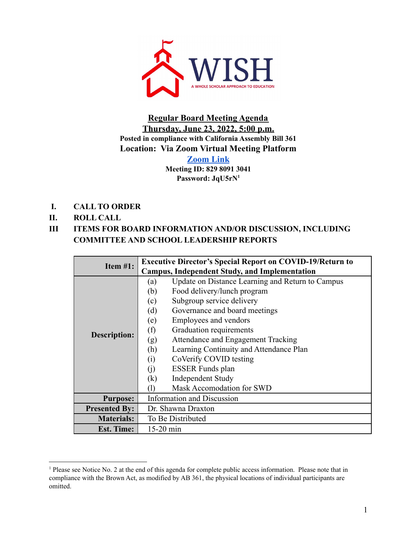

**Regular Board Meeting Agenda Thursday, June 23, 2022, 5:00 p.m. Posted in compliance with California Assembly Bill 361 Location: Via Zoom Virtual Meeting Platform**

> **[Zoom](https://us02web.zoom.us/j/82980913041?pwd=eDdiUkprNW4xUTRTY0FHeC8xc01ydz09) Link Meeting ID: 829 8091 3041 Password: JqU5rN 1**

- **I. CALL TO ORDER**
- **II. ROLL CALL**

## **III ITEMS FOR BOARD INFORMATION AND/OR DISCUSSION, INCLUDING COMMITTEE AND SCHOOL LEADERSHIP REPORTS**

| Item $#1$ :          |             | <b>Executive Director's Special Report on COVID-19/Return to</b> |
|----------------------|-------------|------------------------------------------------------------------|
|                      |             | <b>Campus, Independent Study, and Implementation</b>             |
|                      | (a)         | Update on Distance Learning and Return to Campus                 |
|                      | (b)         | Food delivery/lunch program                                      |
|                      | (c)         | Subgroup service delivery                                        |
| Description:         | (d)         | Governance and board meetings                                    |
|                      | (e)         | Employees and vendors                                            |
|                      | (f)         | Graduation requirements                                          |
|                      | (g)         | Attendance and Engagement Tracking                               |
|                      | (h)         | Learning Continuity and Attendance Plan                          |
|                      | (i)         | CoVerify COVID testing                                           |
|                      | (i)         | <b>ESSER Funds plan</b>                                          |
|                      | (k)         | <b>Independent Study</b>                                         |
|                      |             | Mask Accomodation for SWD                                        |
| <b>Purpose:</b>      |             | Information and Discussion                                       |
| <b>Presented By:</b> |             | Dr. Shawna Draxton                                               |
| <b>Materials:</b>    |             | To Be Distributed                                                |
| <b>Est. Time:</b>    | $15-20$ min |                                                                  |

<sup>&</sup>lt;sup>1</sup> Please see Notice No. 2 at the end of this agenda for complete public access information. Please note that in compliance with the Brown Act, as modified by AB 361, the physical locations of individual participants are omitted.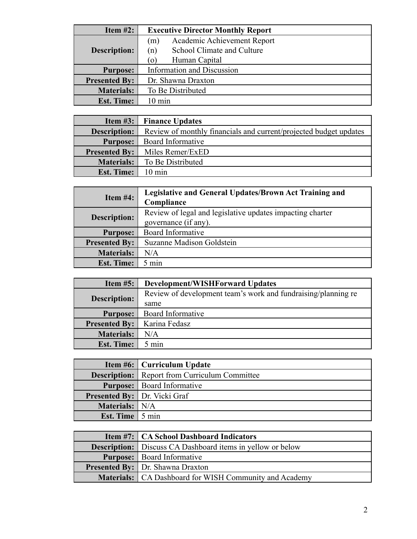| Item $#2$ :          | <b>Executive Director Monthly Report</b> |
|----------------------|------------------------------------------|
|                      | Academic Achievement Report<br>(m)       |
| <b>Description:</b>  | School Climate and Culture<br>(n)        |
|                      | Human Capital<br>(O)                     |
| <b>Purpose:</b>      | Information and Discussion               |
| <b>Presented By:</b> | Dr. Shawna Draxton                       |
| <b>Materials:</b>    | To Be Distributed                        |
| <b>Est. Time:</b>    | $10 \text{ min}$                         |

|                      | <b>Item #3:</b> Finance Updates                                   |
|----------------------|-------------------------------------------------------------------|
| <b>Description:</b>  | Review of monthly financials and current/projected budget updates |
| <b>Purpose:</b>      | Board Informative                                                 |
| <b>Presented By:</b> | Miles Remer/ExED                                                  |
| Materials:           | To Be Distributed                                                 |
| <b>Est. Time:</b>    | $10 \text{ min}$                                                  |

| Item $#4$ :          | Legislative and General Updates/Brown Act Training and<br>Compliance              |
|----------------------|-----------------------------------------------------------------------------------|
| <b>Description:</b>  | Review of legal and legislative updates impacting charter<br>governance (if any). |
| <b>Purpose:</b>      | Board Informative                                                                 |
| <b>Presented By:</b> | Suzanne Madison Goldstein                                                         |
| <b>Materials:</b>    | N/A                                                                               |
| <b>Est. Time:</b>    | $5 \text{ min}$                                                                   |

| Item $#5$ :          | <b>Development/WISHForward Updates</b>                        |
|----------------------|---------------------------------------------------------------|
| <b>Description:</b>  | Review of development team's work and fundraising/planning re |
|                      | same                                                          |
| <b>Purpose:</b>      | Board Informative                                             |
| <b>Presented By:</b> | Karina Fedasz                                                 |
| <b>Materials:</b>    | N/A                                                           |
| <b>Est. Time:</b>    | $5 \text{ min}$                                               |

|                 | Item #6:   Curriculum Update                         |
|-----------------|------------------------------------------------------|
|                 | <b>Description:</b> Report from Curriculum Committee |
|                 | <b>Purpose:</b>   Board Informative                  |
|                 | <b>Presented By:</b> Dr. Vicki Graf                  |
| Materials: N/A  |                                                      |
| Est. Time 5 min |                                                      |

| <b>Item #7:</b>   CA School Dashboard Indicators                  |
|-------------------------------------------------------------------|
| <b>Description:</b> Discuss CA Dashboard items in yellow or below |
| <b>Purpose:</b>   Board Informative                               |
| <b>Presented By:</b> Dr. Shawna Draxton                           |
| <b>Materials:</b>   CA Dashboard for WISH Community and Academy   |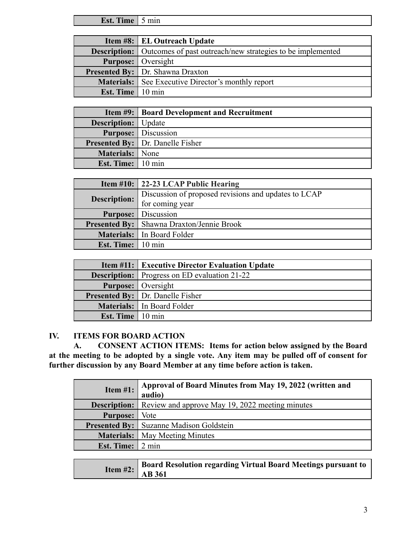**Est. Time** 5 min

|                    | Item #8: EL Outreach Update                                                    |
|--------------------|--------------------------------------------------------------------------------|
|                    | <b>Description:</b> Outcomes of past outreach/new strategies to be implemented |
|                    | <b>Purpose:</b> Oversight                                                      |
|                    | <b>Presented By:</b> Dr. Shawna Draxton                                        |
|                    | <b>Materials:</b> See Executive Director's monthly report                      |
| Est. Time   10 min |                                                                                |

|                              | <b>Item #9:   Board Development and Recruitment</b> |
|------------------------------|-----------------------------------------------------|
| <b>Description:</b>   Update |                                                     |
|                              | <b>Purpose:</b> Discussion                          |
|                              | <b>Presented By:</b> Dr. Danelle Fisher             |
| Materials: None              |                                                     |
| <b>Est. Time:</b> 10 min     |                                                     |

|                          | <b>Item #10: 22-23 LCAP Public Hearing</b>           |
|--------------------------|------------------------------------------------------|
| <b>Description:</b>      | Discussion of proposed revisions and updates to LCAP |
|                          | for coming year                                      |
|                          | <b>Purpose:</b> Discussion                           |
|                          | <b>Presented By:</b> Shawna Draxton/Jennie Brook     |
|                          | Materials:   In Board Folder                         |
| <b>Est. Time:</b> 10 min |                                                      |

|                           | <b>Item #11: Executive Director Evaluation Update</b> |
|---------------------------|-------------------------------------------------------|
|                           | <b>Description:</b> Progress on ED evaluation 21-22   |
|                           | <b>Purpose:</b> Oversight                             |
|                           | <b>Presented By:</b> Dr. Danelle Fisher               |
|                           | Materials: In Board Folder                            |
| <b>Est. Time</b>   10 min |                                                       |

## **IV. ITEMS FOR BOARD ACTION**

**A. CONSENT ACTION ITEMS: Items for action below assigned by the Board at the meeting to be adopted by a single vote. Any item may be pulled off of consent for further discussion by any Board Member at any time before action is taken.**

| Item $#1$ :                            | Approval of Board Minutes from May 19, 2022 (written and<br>audio)  |
|----------------------------------------|---------------------------------------------------------------------|
|                                        | <b>Description:</b> Review and approve May 19, 2022 meeting minutes |
| <b>Purpose:</b>   Vote                 |                                                                     |
|                                        | <b>Presented By:</b> Suzanne Madison Goldstein                      |
|                                        | <b>Materials:</b> May Meeting Minutes                               |
| Est. Time: $\vert 2 \text{ min} \vert$ |                                                                     |

|  | <b>Item #2:</b> Board Resolution regarding Virtual Board Meetings pursuand to a 14 AB 361 |
|--|-------------------------------------------------------------------------------------------|
|  |                                                                                           |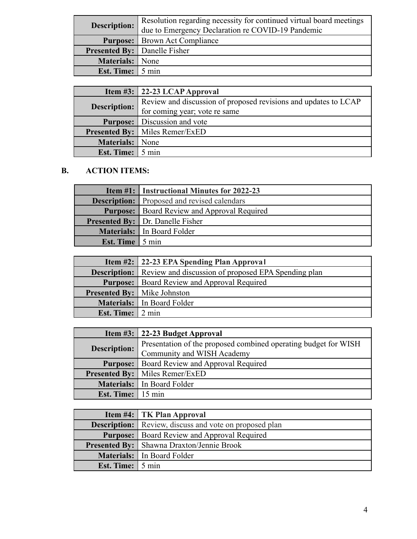| <b>Description:</b>                 | Resolution regarding necessity for continued virtual board meetings<br>due to Emergency Declaration re COVID-19 Pandemic |
|-------------------------------------|--------------------------------------------------------------------------------------------------------------------------|
|                                     | <b>Purpose:</b> Brown Act Compliance                                                                                     |
| <b>Presented By:</b> Danelle Fisher |                                                                                                                          |
| Materials: None                     |                                                                                                                          |
| <b>Est. Time:</b> 5 min             |                                                                                                                          |

|                                 | Item #3: $\vert$ 22-23 LCAP Approval                            |
|---------------------------------|-----------------------------------------------------------------|
| <b>Description:</b>             | Review and discussion of proposed revisions and updates to LCAP |
|                                 | for coming year; vote re same                                   |
|                                 | <b>Purpose:</b> Discussion and vote                             |
|                                 | <b>Presented By:</b>   Miles Remer/ExED                         |
| <b>Materials:</b> None          |                                                                 |
| <b>Est. Time:</b> $\vert$ 5 min |                                                                 |

# **B. ACTION ITEMS:**

|                        | <b>Item #1:</b> Instructional Minutes for 2022-23  |
|------------------------|----------------------------------------------------|
|                        | <b>Description:</b> Proposed and revised calendars |
|                        | <b>Purpose:</b> Board Review and Approval Required |
|                        | <b>Presented By:</b> Dr. Danelle Fisher            |
|                        | Materials: In Board Folder                         |
| <b>Est. Time</b> 5 min |                                                    |

|                                 | <b>Item #2:</b> 22-23 EPA Spending Plan Approval                        |
|---------------------------------|-------------------------------------------------------------------------|
|                                 | <b>Description:</b> Review and discussion of proposed EPA Spending plan |
|                                 | <b>Purpose:</b>   Board Review and Approval Required                    |
|                                 | <b>Presented By:</b> Mike Johnston                                      |
|                                 | Materials: In Board Folder                                              |
| <b>Est. Time:</b> $\vert$ 2 min |                                                                         |

|              | Item $\#3$ :   22-23 Budget Approval                            |
|--------------|-----------------------------------------------------------------|
| Description: | Presentation of the proposed combined operating budget for WISH |
|              | Community and WISH Academy                                      |
|              | <b>Purpose:</b>   Board Review and Approval Required            |
|              | <b>Presented By:</b>   Miles Remer/ExED                         |
|              | Materials:   In Board Folder                                    |
| Est. Time:   | $15 \text{ min}$                                                |

|                         | <b>Item #4:</b> TK Plan Approval                              |
|-------------------------|---------------------------------------------------------------|
|                         | <b>Description:</b> Review, discuss and vote on proposed plan |
|                         | <b>Purpose:</b>   Board Review and Approval Required          |
|                         | <b>Presented By:</b> Shawna Draxton/Jennie Brook              |
|                         | Materials: In Board Folder                                    |
| <b>Est. Time:</b> 5 min |                                                               |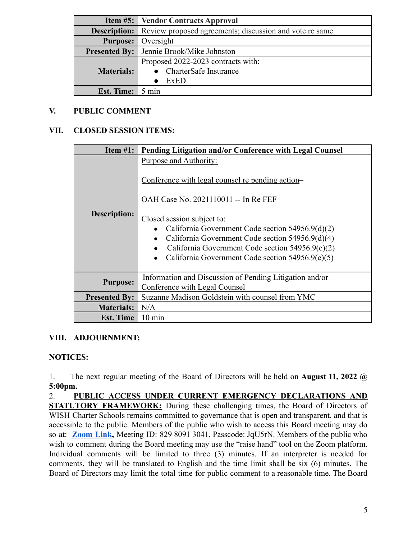|                                        | <b>Item #5:</b> Vendor Contracts Approval                                   |
|----------------------------------------|-----------------------------------------------------------------------------|
|                                        | <b>Description:</b> Review proposed agreements; discussion and vote re same |
|                                        | <b>Purpose:</b> Oversight                                                   |
|                                        | <b>Presented By:</b> Jennie Brook/Mike Johnston                             |
|                                        | Proposed 2022-2023 contracts with:                                          |
| Materials:                             | • CharterSafe Insurance                                                     |
|                                        | ExED                                                                        |
| Est. Time: $\vert 5 \text{ min} \vert$ |                                                                             |

### **V. PUBLIC COMMENT**

### **VII. CLOSED SESSION ITEMS:**

| Item $#1$ :          | Pending Litigation and/or Conference with Legal Counsel                                                                                                                                                                                                                                                                                                              |
|----------------------|----------------------------------------------------------------------------------------------------------------------------------------------------------------------------------------------------------------------------------------------------------------------------------------------------------------------------------------------------------------------|
| <b>Description:</b>  | Purpose and Authority:<br>Conference with legal counsel re pending action-<br>OAH Case No. 2021110011 -- In Re FEF<br>Closed session subject to:<br>California Government Code section 54956.9(d)(2)<br>California Government Code section 54956.9(d)(4)<br>California Government Code section $54956.9(e)(2)$<br>California Government Code section $54956.9(e)(5)$ |
| <b>Purpose:</b>      | Information and Discussion of Pending Litigation and/or<br>Conference with Legal Counsel                                                                                                                                                                                                                                                                             |
| <b>Presented By:</b> | Suzanne Madison Goldstein with counsel from YMC                                                                                                                                                                                                                                                                                                                      |
| <b>Materials:</b>    | N/A                                                                                                                                                                                                                                                                                                                                                                  |
| <b>Est. Time</b>     | $10 \text{ min}$                                                                                                                                                                                                                                                                                                                                                     |

## **VIII. ADJOURNMENT:**

#### **NOTICES:**

1. The next regular meeting of the Board of Directors will be held on **August 11, 2022 @ 5:00pm.**

2. **PUBLIC ACCESS UNDER CURRENT EMERGENCY DECLARATIONS AND STATUTORY FRAMEWORK:** During these challenging times, the Board of Directors of WISH Charter Schools remains committed to governance that is open and transparent, and that is accessible to the public. Members of the public who wish to access this Board meeting may do so at: **[Zoom](https://us02web.zoom.us/j/82980913041?pwd=eDdiUkprNW4xUTRTY0FHeC8xc01ydz09) Link,** Meeting ID: 829 8091 3041, Passcode: JqU5rN. Members of the public who wish to comment during the Board meeting may use the "raise hand" tool on the Zoom platform. Individual comments will be limited to three (3) minutes. If an interpreter is needed for comments, they will be translated to English and the time limit shall be six (6) minutes. The Board of Directors may limit the total time for public comment to a reasonable time. The Board